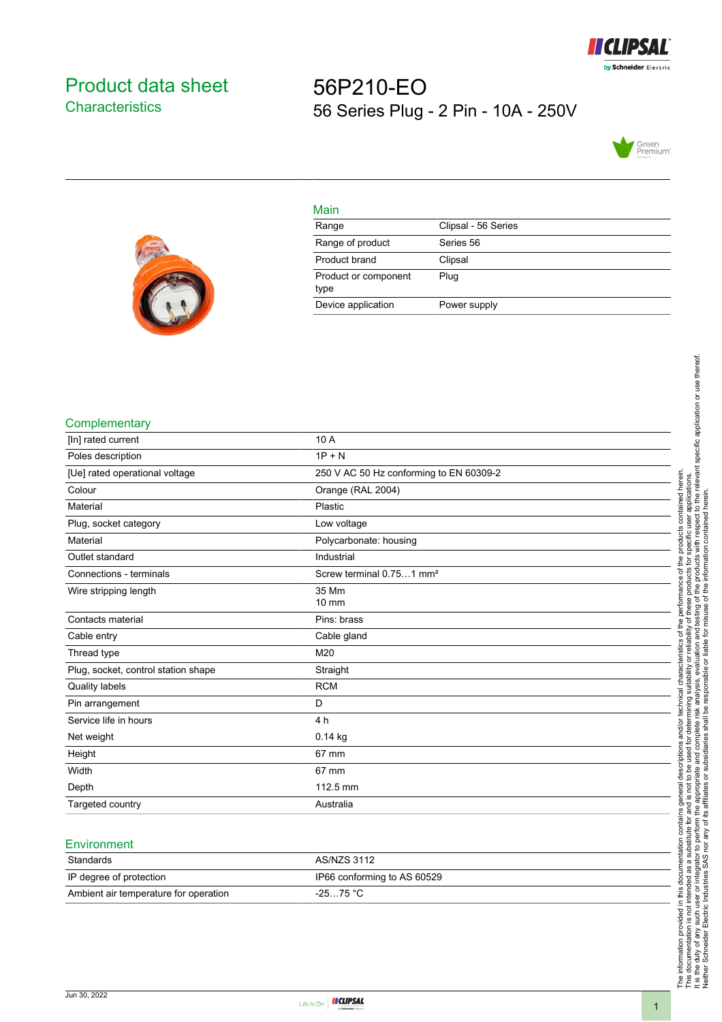

# <span id="page-0-0"></span>Product data sheet **Characteristics**

# 56P210-EO 56 Series Plug - 2 Pin - 10A - 250V





| Main                         |                     |
|------------------------------|---------------------|
| Range                        | Clipsal - 56 Series |
| Range of product             | Series 56           |
| Product brand                | Clipsal             |
| Product or component<br>type | Plug                |
| Device application           | Power supply        |

#### **Complementary**

| [In] rated current                  | 10 A                                    |
|-------------------------------------|-----------------------------------------|
| Poles description                   | $1P + N$                                |
| [Ue] rated operational voltage      | 250 V AC 50 Hz conforming to EN 60309-2 |
| Colour                              | Orange (RAL 2004)                       |
| Material                            | Plastic                                 |
| Plug, socket category               | Low voltage                             |
| Material                            | Polycarbonate: housing                  |
| Outlet standard                     | Industrial                              |
| Connections - terminals             | Screw terminal 0.751 mm <sup>2</sup>    |
| Wire stripping length               | 35 Mm                                   |
|                                     | 10 mm                                   |
| Contacts material                   | Pins: brass                             |
| Cable entry                         | Cable gland                             |
| Thread type                         | M20                                     |
| Plug, socket, control station shape | Straight                                |
| <b>Quality labels</b>               | <b>RCM</b>                              |
| Pin arrangement                     | D                                       |
| Service life in hours               | 4 h                                     |
| Net weight                          | $0.14$ kg                               |
| Height                              | 67 mm                                   |
| Width                               | 67 mm                                   |
| Depth                               | 112.5 mm                                |
| Targeted country                    | Australia                               |

#### **Environment**

| Standards                             | AS/NZS 3112                 |
|---------------------------------------|-----------------------------|
| IP degree of protection               | IP66 conforming to AS 60529 |
| Ambient air temperature for operation | $-2575 °C$                  |